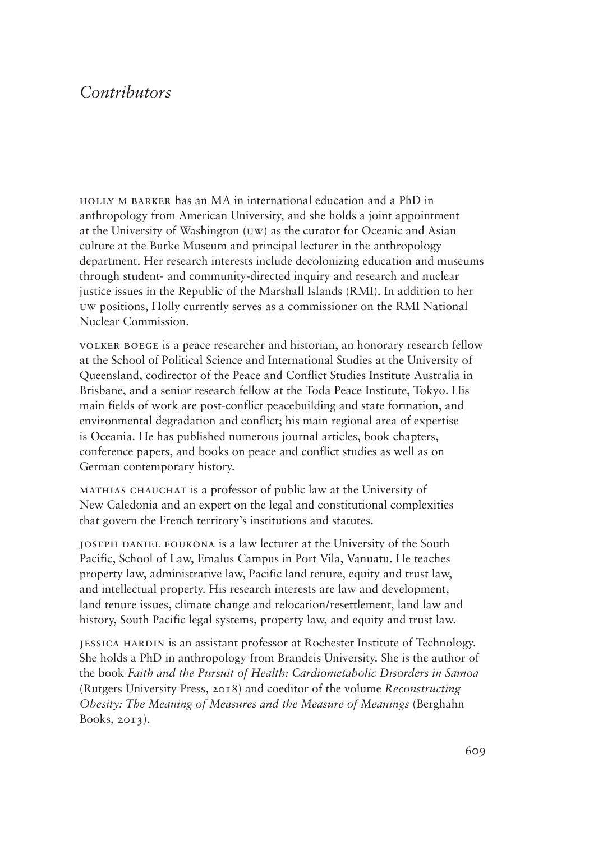## *Contributors*

holly m barker has an MA in international education and a PhD in anthropology from American University, and she holds a joint appointment at the University of Washington (uw) as the curator for Oceanic and Asian culture at the Burke Museum and principal lecturer in the anthropology department. Her research interests include decolonizing education and museums through student- and community-directed inquiry and research and nuclear justice issues in the Republic of the Marshall Islands (RMI). In addition to her uw positions, Holly currently serves as a commissioner on the RMI National Nuclear Commission.

volker boege is a peace researcher and historian, an honorary research fellow at the School of Political Science and International Studies at the University of Queensland, codirector of the Peace and Conflict Studies Institute Australia in Brisbane, and a senior research fellow at the Toda Peace Institute, Tokyo. His main fields of work are post-conflict peacebuilding and state formation, and environmental degradation and conflict; his main regional area of expertise is Oceania. He has published numerous journal articles, book chapters, conference papers, and books on peace and conflict studies as well as on German contemporary history.

mathias chauchat is a professor of public law at the University of New Caledonia and an expert on the legal and constitutional complexities that govern the French territory's institutions and statutes.

joseph daniel foukona is a law lecturer at the University of the South Pacific, School of Law, Emalus Campus in Port Vila, Vanuatu. He teaches property law, administrative law, Pacific land tenure, equity and trust law, and intellectual property. His research interests are law and development, land tenure issues, climate change and relocation/resettlement, land law and history, South Pacific legal systems, property law, and equity and trust law.

jessica hardin is an assistant professor at Rochester Institute of Technology. She holds a PhD in anthropology from Brandeis University. She is the author of the book *Faith and the Pursuit of Health: Cardiometabolic Disorders in Samoa*  (Rutgers University Press, 2018) and coeditor of the volume *Reconstructing Obesity: The Meaning of Measures and the Measure of Meanings* (Berghahn Books, 2013).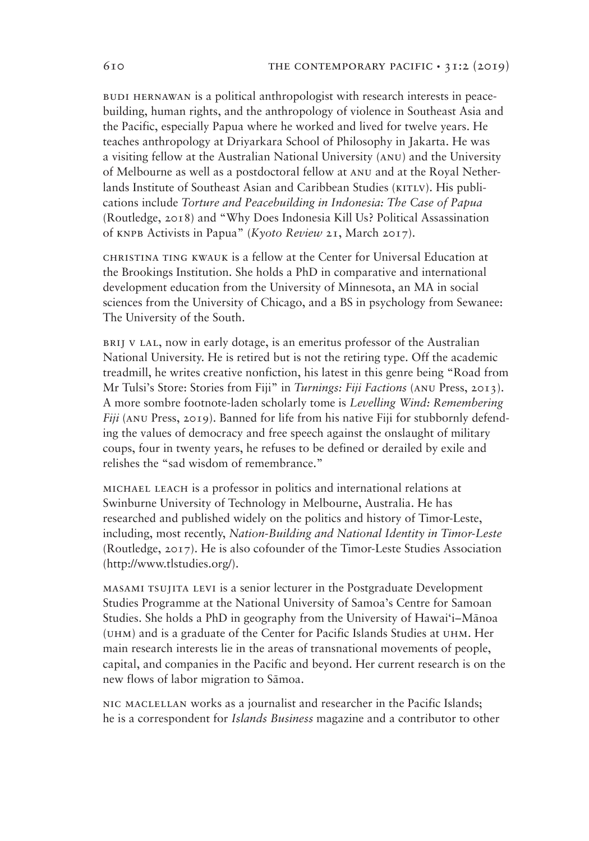BUDI HERNAWAN is a political anthropologist with research interests in peacebuilding, human rights, and the anthropology of violence in Southeast Asia and the Pacific, especially Papua where he worked and lived for twelve years. He teaches anthropology at Driyarkara School of Philosophy in Jakarta. He was a visiting fellow at the Australian National University (anu) and the University of Melbourne as well as a postdoctoral fellow at anu and at the Royal Netherlands Institute of Southeast Asian and Caribbean Studies (KITLV). His publications include *Torture and Peacebuilding in Indonesia: The Case of Papua* (Routledge, 2018) and "Why Does Indonesia Kill Us? Political Assassination of knpb Activists in Papua" (*Kyoto Review* 21, March 2017).

christina ting kwauk is a fellow at the Center for Universal Education at the Brookings Institution. She holds a PhD in comparative and international development education from the University of Minnesota, an MA in social sciences from the University of Chicago, and a BS in psychology from Sewanee: The University of the South.

brij v lal, now in early dotage, is an emeritus professor of the Australian National University. He is retired but is not the retiring type. Off the academic treadmill, he writes creative nonfiction, his latest in this genre being "Road from Mr Tulsi's Store: Stories from Fiji" in *Turnings: Fiji Factions* (anu Press, 2013). A more sombre footnote-laden scholarly tome is *Levelling Wind: Remembering Fiji* (anu Press, 2019). Banned for life from his native Fiji for stubbornly defending the values of democracy and free speech against the onslaught of military coups, four in twenty years, he refuses to be defined or derailed by exile and relishes the "sad wisdom of remembrance."

michael leach is a professor in politics and international relations at Swinburne University of Technology in Melbourne, Australia. He has researched and published widely on the politics and history of Timor-Leste, including, most recently, *Nation-Building and National Identity in Timor-Leste*  (Routledge, 2017). He is also cofounder of the Timor-Leste Studies Association (http://www.tlstudies.org/).

masami tsujita levi is a senior lecturer in the Postgraduate Development Studies Programme at the National University of Samoa's Centre for Samoan Studies. She holds a PhD in geography from the University of Hawai'i–Mānoa (uhm) and is a graduate of the Center for Pacific Islands Studies at uhm. Her main research interests lie in the areas of transnational movements of people, capital, and companies in the Pacific and beyond. Her current research is on the new flows of labor migration to Sāmoa.

nic maclellan works as a journalist and researcher in the Pacific Islands; he is a correspondent for *Islands Business* magazine and a contributor to other